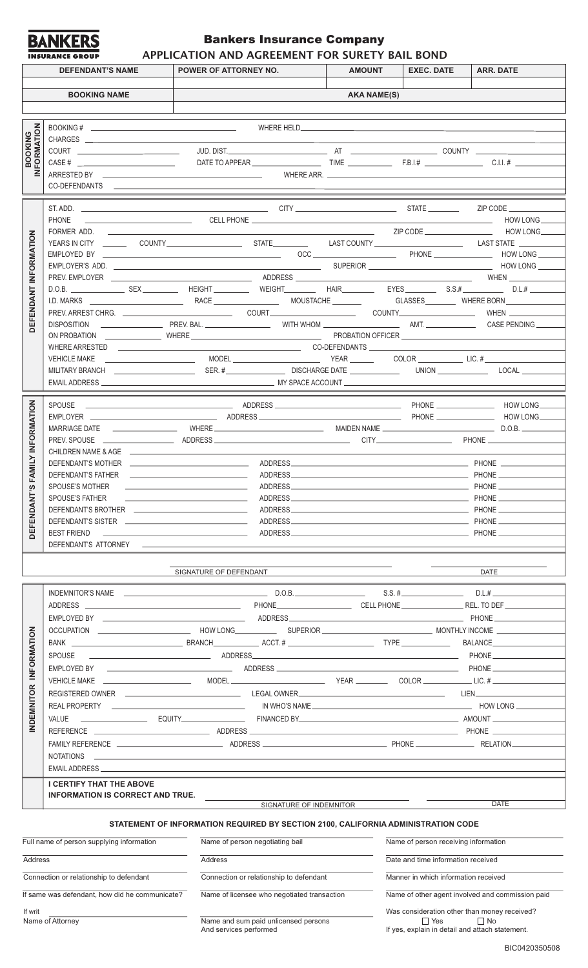

## Bankers Insurance Company

|                               | DAIVINERS<br><b>INSURANCE GROUP</b>       | APPLICATION AND AGREEMENT FOR SURETY BAIL BOND                                                                                                                                                                                 | <u>kas maarange oomp</u>                |                                                                                 |                                      |                                                                                                                       |
|-------------------------------|-------------------------------------------|--------------------------------------------------------------------------------------------------------------------------------------------------------------------------------------------------------------------------------|-----------------------------------------|---------------------------------------------------------------------------------|--------------------------------------|-----------------------------------------------------------------------------------------------------------------------|
|                               | <b>DEFENDANT'S NAME</b>                   | <b>POWER OF ATTORNEY NO.</b>                                                                                                                                                                                                   |                                         | <b>Example 2</b> AMOUNT                                                         | <b>EXEC. DATE</b>                    | <b>ARR. DATE</b>                                                                                                      |
|                               | <b>BOOKING NAME</b>                       |                                                                                                                                                                                                                                |                                         | <b>AKA NAME(S)</b>                                                              |                                      |                                                                                                                       |
|                               |                                           |                                                                                                                                                                                                                                |                                         |                                                                                 |                                      |                                                                                                                       |
|                               |                                           |                                                                                                                                                                                                                                |                                         |                                                                                 |                                      |                                                                                                                       |
| <b>BOOKING<br/>IFORMATION</b> |                                           |                                                                                                                                                                                                                                |                                         |                                                                                 |                                      |                                                                                                                       |
|                               |                                           |                                                                                                                                                                                                                                |                                         |                                                                                 |                                      |                                                                                                                       |
| 같                             |                                           |                                                                                                                                                                                                                                |                                         |                                                                                 |                                      |                                                                                                                       |
|                               |                                           |                                                                                                                                                                                                                                |                                         |                                                                                 |                                      |                                                                                                                       |
|                               |                                           |                                                                                                                                                                                                                                |                                         |                                                                                 |                                      |                                                                                                                       |
|                               |                                           |                                                                                                                                                                                                                                |                                         |                                                                                 |                                      |                                                                                                                       |
|                               |                                           |                                                                                                                                                                                                                                |                                         |                                                                                 |                                      |                                                                                                                       |
| EFENDANT INFORMATION          |                                           |                                                                                                                                                                                                                                |                                         |                                                                                 |                                      |                                                                                                                       |
|                               |                                           |                                                                                                                                                                                                                                |                                         |                                                                                 |                                      |                                                                                                                       |
|                               |                                           |                                                                                                                                                                                                                                |                                         |                                                                                 |                                      |                                                                                                                       |
|                               |                                           |                                                                                                                                                                                                                                |                                         |                                                                                 |                                      |                                                                                                                       |
|                               |                                           |                                                                                                                                                                                                                                |                                         |                                                                                 |                                      |                                                                                                                       |
|                               |                                           |                                                                                                                                                                                                                                |                                         |                                                                                 |                                      | <b>WHEN</b>                                                                                                           |
|                               |                                           |                                                                                                                                                                                                                                |                                         |                                                                                 |                                      |                                                                                                                       |
|                               |                                           |                                                                                                                                                                                                                                |                                         |                                                                                 |                                      |                                                                                                                       |
|                               |                                           |                                                                                                                                                                                                                                |                                         |                                                                                 |                                      |                                                                                                                       |
|                               | <b>VEHICLE MAKE</b>                       |                                                                                                                                                                                                                                |                                         |                                                                                 |                                      |                                                                                                                       |
|                               |                                           |                                                                                                                                                                                                                                |                                         |                                                                                 |                                      |                                                                                                                       |
|                               |                                           |                                                                                                                                                                                                                                |                                         |                                                                                 |                                      | <u> 1989 - Johann Stoff, deutscher Stoff, der Stoff, der Stoff, der Stoff, der Stoff, der Stoff, der Stoff, der S</u> |
|                               |                                           |                                                                                                                                                                                                                                |                                         |                                                                                 |                                      |                                                                                                                       |
|                               |                                           |                                                                                                                                                                                                                                |                                         |                                                                                 |                                      |                                                                                                                       |
|                               |                                           |                                                                                                                                                                                                                                |                                         |                                                                                 |                                      |                                                                                                                       |
| <b>MILY INFORMATION</b>       |                                           |                                                                                                                                                                                                                                |                                         |                                                                                 |                                      |                                                                                                                       |
|                               |                                           |                                                                                                                                                                                                                                |                                         |                                                                                 |                                      |                                                                                                                       |
| 反                             |                                           |                                                                                                                                                                                                                                |                                         |                                                                                 |                                      |                                                                                                                       |
| ဖာ                            |                                           |                                                                                                                                                                                                                                |                                         |                                                                                 |                                      |                                                                                                                       |
| DEFENDANT'                    |                                           |                                                                                                                                                                                                                                |                                         |                                                                                 |                                      |                                                                                                                       |
|                               |                                           |                                                                                                                                                                                                                                |                                         |                                                                                 |                                      |                                                                                                                       |
|                               |                                           |                                                                                                                                                                                                                                |                                         |                                                                                 |                                      |                                                                                                                       |
|                               |                                           |                                                                                                                                                                                                                                |                                         |                                                                                 |                                      |                                                                                                                       |
|                               |                                           |                                                                                                                                                                                                                                |                                         | the contract of the contract of the contract of the contract of the contract of |                                      |                                                                                                                       |
|                               |                                           | SIGNATURE OF DEFENDANT AND RESERVE THE SERVE AND RESERVE THE SERVE AND RESERVE THE SERVE AND RESERVE THE SERVE AND RESERVE AND RESERVE AND RESERVE AND RESERVE AND RESERVE AND RESERVE AND RESERVE AND RESERVE AND RESERVE AND |                                         |                                                                                 | the contract of the contract of the  |                                                                                                                       |
|                               |                                           |                                                                                                                                                                                                                                |                                         |                                                                                 |                                      |                                                                                                                       |
|                               |                                           |                                                                                                                                                                                                                                |                                         |                                                                                 |                                      |                                                                                                                       |
|                               |                                           |                                                                                                                                                                                                                                |                                         |                                                                                 |                                      |                                                                                                                       |
|                               |                                           |                                                                                                                                                                                                                                |                                         |                                                                                 |                                      |                                                                                                                       |
| INFORMATION                   |                                           |                                                                                                                                                                                                                                |                                         |                                                                                 |                                      |                                                                                                                       |
|                               |                                           |                                                                                                                                                                                                                                |                                         |                                                                                 |                                      |                                                                                                                       |
|                               |                                           |                                                                                                                                                                                                                                |                                         |                                                                                 |                                      |                                                                                                                       |
|                               |                                           |                                                                                                                                                                                                                                |                                         |                                                                                 |                                      |                                                                                                                       |
| <b>NDEMNITOR</b>              |                                           |                                                                                                                                                                                                                                |                                         |                                                                                 |                                      |                                                                                                                       |
|                               |                                           |                                                                                                                                                                                                                                |                                         |                                                                                 |                                      |                                                                                                                       |
|                               |                                           |                                                                                                                                                                                                                                |                                         |                                                                                 |                                      |                                                                                                                       |
|                               |                                           |                                                                                                                                                                                                                                |                                         |                                                                                 |                                      |                                                                                                                       |
|                               |                                           |                                                                                                                                                                                                                                |                                         |                                                                                 |                                      |                                                                                                                       |
|                               |                                           |                                                                                                                                                                                                                                |                                         |                                                                                 |                                      |                                                                                                                       |
|                               | <b>I CERTIFY THAT THE ABOVE</b>           |                                                                                                                                                                                                                                |                                         |                                                                                 |                                      |                                                                                                                       |
|                               | INFORMATION IS CORRECT AND TRUE.          |                                                                                                                                                                                                                                |                                         | SIGNATURE OF INDEMNITOR <b>CONTAINER AND THE CONTROL</b>                        |                                      | <b>DATE</b>                                                                                                           |
|                               |                                           | STATEMENT OF INFORMATION REQUIRED BY SECTION 2100, CALIFORNIA ADMINISTRATION CODE                                                                                                                                              |                                         |                                                                                 |                                      |                                                                                                                       |
|                               | Full name of person supplying information | $\overline{\phantom{0}}$                                                                                                                                                                                                       | Name of person negotiating bail         |                                                                                 | Name of person receiving information |                                                                                                                       |
| Address                       |                                           | Address                                                                                                                                                                                                                        |                                         |                                                                                 | Date and time information received   |                                                                                                                       |
|                               |                                           |                                                                                                                                                                                                                                |                                         |                                                                                 |                                      |                                                                                                                       |
|                               | Connection or relationship to defendant   |                                                                                                                                                                                                                                | Connection or relationship to defendant |                                                                                 | Manner in which information received |                                                                                                                       |

Connection or relationship to defendant Manner in which information received

If same was defendant, how did he communicate? Name of licensee who negotiated transaction Name of other agent involved and commission paid

If writ<br>Name of Attorney

Name of Attorney Yes No And services performed Name and sum paid unlicensed persons

Was consideration other than money received?

If yes, explain in detail and attach statement.